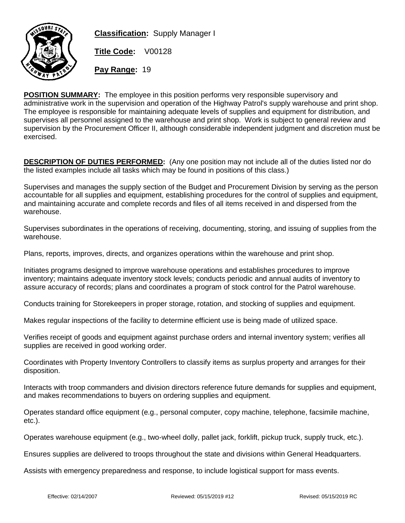

**Classification:** Supply Manager I

**Title Code:** V00128

**Pay Range:** 19

**POSITION SUMMARY:** The employee in this position performs very responsible supervisory and administrative work in the supervision and operation of the Highway Patrol's supply warehouse and print shop. The employee is responsible for maintaining adequate levels of supplies and equipment for distribution, and supervises all personnel assigned to the warehouse and print shop. Work is subject to general review and supervision by the Procurement Officer II, although considerable independent judgment and discretion must be exercised.

**DESCRIPTION OF DUTIES PERFORMED:** (Any one position may not include all of the duties listed nor do the listed examples include all tasks which may be found in positions of this class.)

Supervises and manages the supply section of the Budget and Procurement Division by serving as the person accountable for all supplies and equipment, establishing procedures for the control of supplies and equipment, and maintaining accurate and complete records and files of all items received in and dispersed from the warehouse.

Supervises subordinates in the operations of receiving, documenting, storing, and issuing of supplies from the warehouse.

Plans, reports, improves, directs, and organizes operations within the warehouse and print shop.

Initiates programs designed to improve warehouse operations and establishes procedures to improve inventory; maintains adequate inventory stock levels; conducts periodic and annual audits of inventory to assure accuracy of records; plans and coordinates a program of stock control for the Patrol warehouse.

Conducts training for Storekeepers in proper storage, rotation, and stocking of supplies and equipment.

Makes regular inspections of the facility to determine efficient use is being made of utilized space.

Verifies receipt of goods and equipment against purchase orders and internal inventory system; verifies all supplies are received in good working order.

Coordinates with Property Inventory Controllers to classify items as surplus property and arranges for their disposition.

Interacts with troop commanders and division directors reference future demands for supplies and equipment, and makes recommendations to buyers on ordering supplies and equipment.

Operates standard office equipment (e.g., personal computer, copy machine, telephone, facsimile machine, etc.).

Operates warehouse equipment (e.g., two-wheel dolly, pallet jack, forklift, pickup truck, supply truck, etc.).

Ensures supplies are delivered to troops throughout the state and divisions within General Headquarters.

Assists with emergency preparedness and response, to include logistical support for mass events.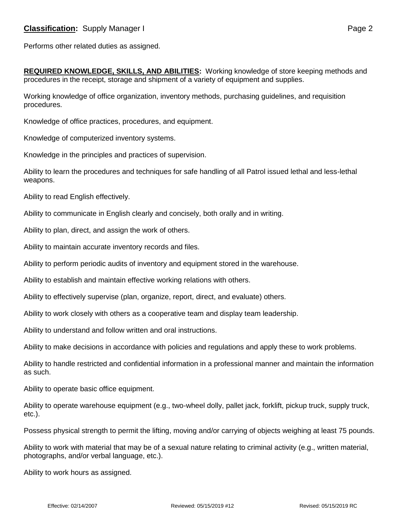Performs other related duties as assigned.

**REQUIRED KNOWLEDGE, SKILLS, AND ABILITIES:** Working knowledge of store keeping methods and procedures in the receipt, storage and shipment of a variety of equipment and supplies.

Working knowledge of office organization, inventory methods, purchasing guidelines, and requisition procedures.

Knowledge of office practices, procedures, and equipment.

Knowledge of computerized inventory systems.

Knowledge in the principles and practices of supervision.

Ability to learn the procedures and techniques for safe handling of all Patrol issued lethal and less-lethal weapons.

Ability to read English effectively.

Ability to communicate in English clearly and concisely, both orally and in writing.

Ability to plan, direct, and assign the work of others.

Ability to maintain accurate inventory records and files.

Ability to perform periodic audits of inventory and equipment stored in the warehouse.

Ability to establish and maintain effective working relations with others.

Ability to effectively supervise (plan, organize, report, direct, and evaluate) others.

Ability to work closely with others as a cooperative team and display team leadership.

Ability to understand and follow written and oral instructions.

Ability to make decisions in accordance with policies and regulations and apply these to work problems.

Ability to handle restricted and confidential information in a professional manner and maintain the information as such.

Ability to operate basic office equipment.

Ability to operate warehouse equipment (e.g., two-wheel dolly, pallet jack, forklift, pickup truck, supply truck, etc.).

Possess physical strength to permit the lifting, moving and/or carrying of objects weighing at least 75 pounds.

Ability to work with material that may be of a sexual nature relating to criminal activity (e.g., written material, photographs, and/or verbal language, etc.).

Ability to work hours as assigned.